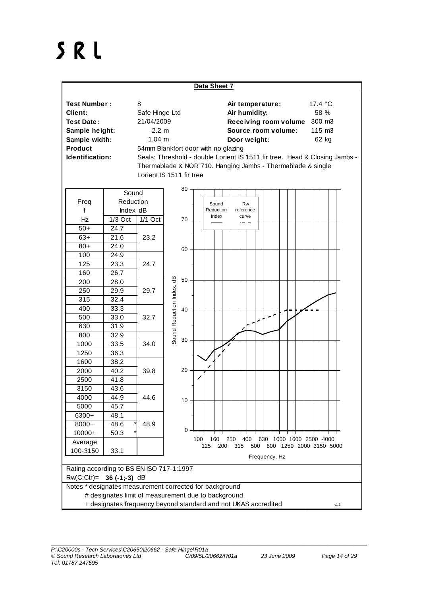## SRL

| Data Sheet 7                                                                                                                |               |                                                           |                                                                                                                                                                                                                                                                                                                                                                   |
|-----------------------------------------------------------------------------------------------------------------------------|---------------|-----------------------------------------------------------|-------------------------------------------------------------------------------------------------------------------------------------------------------------------------------------------------------------------------------------------------------------------------------------------------------------------------------------------------------------------|
| <b>Test Number:</b><br>Client:<br><b>Test Date:</b><br>Sample height:<br>Sample width:<br><b>Product</b><br>Identification: |               | 8<br>Safe Hinge Ltd<br>21/04/2009<br>2.2 m<br>$1.04 \; m$ | 17.4 °C<br>Air temperature:<br>Air humidity:<br>58 %<br>Receiving room volume<br>300 m3<br>Source room volume:<br>115 m3<br>62 kg<br>Door weight:<br>54mm Blankfort door with no glazing<br>Seals: Threshold - double Lorient IS 1511 fir tree. Head & Closing Jambs -<br>Thermablade & NOR 710. Hanging Jambs - Thermablade & single<br>Lorient IS 1511 fir tree |
|                                                                                                                             | Sound         |                                                           | $80 -$                                                                                                                                                                                                                                                                                                                                                            |
| Freq                                                                                                                        | Reduction     |                                                           | Sound<br>Rw                                                                                                                                                                                                                                                                                                                                                       |
| f                                                                                                                           | Index, dB     |                                                           | Reduction<br>reference                                                                                                                                                                                                                                                                                                                                            |
| Hz                                                                                                                          | $1/3$ Oct     | $1/1$ Oct                                                 | Index<br>curve<br>$70 -$                                                                                                                                                                                                                                                                                                                                          |
| $50+$                                                                                                                       | 24.7          |                                                           |                                                                                                                                                                                                                                                                                                                                                                   |
| $63+$                                                                                                                       | 21.6          | 23.2                                                      |                                                                                                                                                                                                                                                                                                                                                                   |
| $80+$                                                                                                                       | 24.0          |                                                           | $60 -$                                                                                                                                                                                                                                                                                                                                                            |
| 100                                                                                                                         | 24.9          |                                                           |                                                                                                                                                                                                                                                                                                                                                                   |
| 125                                                                                                                         | 23.3          | 24.7                                                      |                                                                                                                                                                                                                                                                                                                                                                   |
| 160                                                                                                                         | 26.7          |                                                           |                                                                                                                                                                                                                                                                                                                                                                   |
| 200                                                                                                                         | 28.0          |                                                           | Sound Reduction Index, dB<br>50                                                                                                                                                                                                                                                                                                                                   |
| 250                                                                                                                         | 29.9          | 29.7                                                      |                                                                                                                                                                                                                                                                                                                                                                   |
| 315                                                                                                                         | 32.4          |                                                           |                                                                                                                                                                                                                                                                                                                                                                   |
| 400                                                                                                                         | 33.3          |                                                           | 40                                                                                                                                                                                                                                                                                                                                                                |
| 500                                                                                                                         | 33.0          | 32.7                                                      |                                                                                                                                                                                                                                                                                                                                                                   |
| 630                                                                                                                         | 31.9          |                                                           |                                                                                                                                                                                                                                                                                                                                                                   |
| 800                                                                                                                         | 32.9          |                                                           | $30\,$                                                                                                                                                                                                                                                                                                                                                            |
| 1000                                                                                                                        | 33.5          | 34.0                                                      |                                                                                                                                                                                                                                                                                                                                                                   |
| 1250                                                                                                                        | 36.3          |                                                           |                                                                                                                                                                                                                                                                                                                                                                   |
| 1600                                                                                                                        | 38.2          |                                                           |                                                                                                                                                                                                                                                                                                                                                                   |
| 2000                                                                                                                        | 40.2          | 39.8                                                      | $20 -$                                                                                                                                                                                                                                                                                                                                                            |
| 2500                                                                                                                        | 41.8          |                                                           |                                                                                                                                                                                                                                                                                                                                                                   |
| 3150                                                                                                                        | 43.6          |                                                           |                                                                                                                                                                                                                                                                                                                                                                   |
| 4000                                                                                                                        | 44.9          | 44.6                                                      | 10                                                                                                                                                                                                                                                                                                                                                                |
| 5000                                                                                                                        | 45.7          |                                                           |                                                                                                                                                                                                                                                                                                                                                                   |
| 6300+                                                                                                                       | 48.1          |                                                           |                                                                                                                                                                                                                                                                                                                                                                   |
| 8000+                                                                                                                       | 48.6          | 48.9                                                      | 0                                                                                                                                                                                                                                                                                                                                                                 |
| $10000+$                                                                                                                    | 50.3          |                                                           | 250<br>400<br>630 1000 1600 2500 4000<br>100<br>160                                                                                                                                                                                                                                                                                                               |
| Average<br>100-3150                                                                                                         | 33.1          |                                                           | 800 1250 2000 3150 5000<br>125<br>200<br>315<br>500                                                                                                                                                                                                                                                                                                               |
|                                                                                                                             | Frequency, Hz |                                                           |                                                                                                                                                                                                                                                                                                                                                                   |
| Rating according to BS EN ISO 717-1:1997                                                                                    |               |                                                           |                                                                                                                                                                                                                                                                                                                                                                   |
| $RW(C;ctr) = 36(-1;-3) dB$                                                                                                  |               |                                                           |                                                                                                                                                                                                                                                                                                                                                                   |
| Notes * designates measurement corrected for background                                                                     |               |                                                           |                                                                                                                                                                                                                                                                                                                                                                   |
| # designates limit of measurement due to background                                                                         |               |                                                           |                                                                                                                                                                                                                                                                                                                                                                   |
| + designates frequency beyond standard and not UKAS accredited<br>v1.6                                                      |               |                                                           |                                                                                                                                                                                                                                                                                                                                                                   |

\_\_\_\_\_\_\_\_\_\_\_\_\_\_\_\_\_\_\_\_\_\_\_\_\_\_\_\_\_\_\_\_\_\_\_\_\_\_\_\_\_\_\_\_\_\_\_\_\_\_\_\_\_\_\_\_\_\_\_\_\_\_\_\_\_\_\_\_\_\_\_\_\_\_\_\_\_\_\_\_\_\_\_\_\_\_\_\_\_\_\_\_\_\_\_\_\_\_\_\_\_\_\_\_\_\_\_\_\_\_\_\_